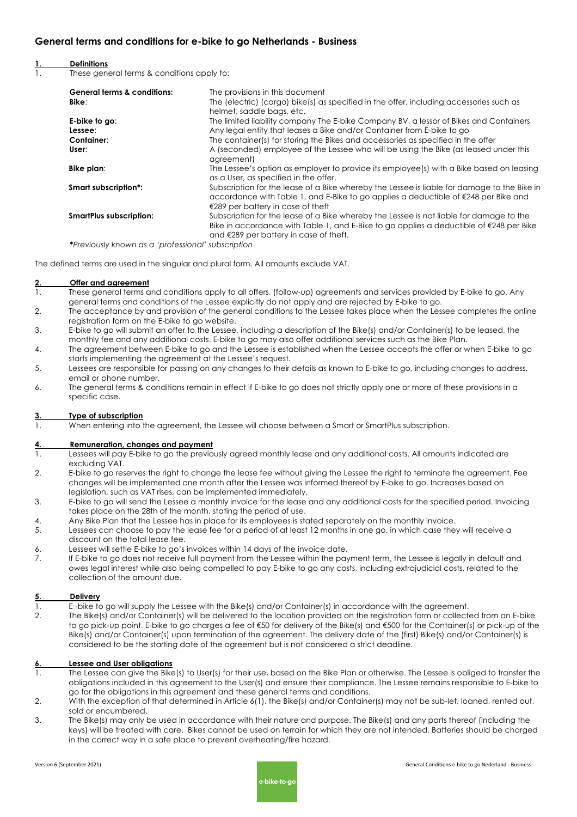## **General terms and conditions for e-bike to go Netherlands - Business**

### **1. Definitions**

1. These general terms & conditions apply to:

| <b>General terms &amp; conditions:</b> | The provisions in this document                                                                                                                                                                                                                  |
|----------------------------------------|--------------------------------------------------------------------------------------------------------------------------------------------------------------------------------------------------------------------------------------------------|
| Bike:                                  | The (electric) (cargo) bike(s) as specified in the offer, including accessories such as<br>helmet, saddle bags, etc.                                                                                                                             |
| E-bike to go:                          | The limited liability company The E-bike Company BV, a lessor of Bikes and Containers                                                                                                                                                            |
| Lessee:                                | Any legal entity that leases a Bike and/or Container from E-bike to go                                                                                                                                                                           |
| Container:                             | The container(s) for storing the Bikes and accessories as specified in the offer                                                                                                                                                                 |
| User:                                  | A (seconded) employee of the Lessee who will be using the Bike (as leased under this<br>agreement)                                                                                                                                               |
| Bike plan:                             | The Lessee's option as employer to provide its employee(s) with a Bike based on leasing<br>as a User, as specified in the offer.                                                                                                                 |
| Smart subscription*:                   | Subscription for the lease of a Bike whereby the Lessee is liable for damage to the Bike in<br>accordance with Table 1, and E-Bike to go applies a deductible of $\epsilon$ 248 per Bike and<br>€289 per battery in case of theft                |
| <b>SmartPlus subscription:</b>         | Subscription for the lease of a Bike whereby the Lessee is not liable for damage to the<br>Bike in accordance with Table 1, and E-Bike to go applies a deductible of $\epsilon$ 248 per Bike<br>and $\epsilon$ 289 per battery in case of theft. |
|                                        |                                                                                                                                                                                                                                                  |

**\****Previously known as a 'professional' subscription*

The defined terms are used in the singular and plural form. All amounts exclude VAT.

#### **2. Offer and agreement**

- 1. These general terms and conditions apply to all offers, (follow-up) agreements and services provided by E-bike to go. Any general terms and conditions of the Lessee explicitly do not apply and are rejected by E-bike to go.
- 2. The acceptance by and provision of the general conditions to the Lessee takes place when the Lessee completes the online registration form on the E-bike to go website.
- 3. E-bike to go will submit an offer to the Lessee, including a description of the Bike(s) and/or Container(s) to be leased, the monthly fee and any additional costs. E-bike to go may also offer additional services such as the Bike Plan.
- 4. The agreement between E-bike to go and the Lessee is established when the Lessee accepts the offer or when E-bike to go starts implementing the agreement at the Lessee's request.
- 5. Lessees are responsible for passing on any changes to their details as known to E-bike to go, including changes to address, email or phone number.
- 6. The general terms & conditions remain in effect if E-bike to go does not strictly apply one or more of these provisions in a specific case.

## **3. Type of subscription**

1. When entering into the agreement, the Lessee will choose between a Smart or SmartPlus subscription.

#### **4. Remuneration, changes and payment**

- 1. Lessees will pay E-bike to go the previously agreed monthly lease and any additional costs. All amounts indicated are excluding VAT.
- 2. E-bike to go reserves the right to change the lease fee without giving the Lessee the right to terminate the agreement. Fee changes will be implemented one month after the Lessee was informed thereof by E-bike to go. Increases based on legislation, such as VAT rises, can be implemented immediately.
- 3. E-bike to go will send the Lessee a monthly invoice for the lease and any additional costs for the specified period. Invoicing takes place on the 28th of the month, stating the period of use.
- 4. Any Bike Plan that the Lessee has in place for its employees is stated separately on the monthly invoice.
- 5. Lessees can choose to pay the lease fee for a period of at least 12 months in one go, in which case they will receive a discount on the total lease fee.
- 6. Lessees will settle E-bike to go's invoices within 14 days of the invoice date.
- 7. If E-bike to go does not receive full payment from the Lessee within the payment term, the Lessee is legally in default and owes legal interest while also being compelled to pay E-bike to go any costs, including extrajudicial costs, related to the collection of the amount due.

## **5. Delivery**

- 1. E -bike to go will supply the Lessee with the Bike(s) and/or Container(s) in accordance with the agreement.
- 2. The Bike(s) and/or Container(s) will be delivered to the location provided on the registration form or collected from an E-bike to go pick-up point. E-bike to go charges a fee of €50 for delivery of the Bike(s) and €500 for the Container(s) or pick-up of the Bike(s) and/or Container(s) upon termination of the agreement. The delivery date of the (first) Bike(s) and/or Container(s) is considered to be the starting date of the agreement but is not considered a strict deadline.

#### **6. Lessee and User obligations**

- 1. The Lessee can give the Bike(s) to User(s) for their use, based on the Bike Plan or otherwise. The Lessee is obliged to transfer the obligations included in this agreement to the User(s) and ensure their compliance. The Lessee remains responsible to E-bike to go for the obligations in this agreement and these general terms and conditions.
- 2. With the exception of that determined in Article 6(1), the Bike(s) and/or Container(s) may not be sub-let, loaned, rented out, sold or encumbered.
- 3. The Bike(s) may only be used in accordance with their nature and purpose. The Bike(s) and any parts thereof (including the keys) will be treated with care. Bikes cannot be used on terrain for which they are not intended. Batteries should be charged in the correct way in a safe place to prevent overheating/fire hazard.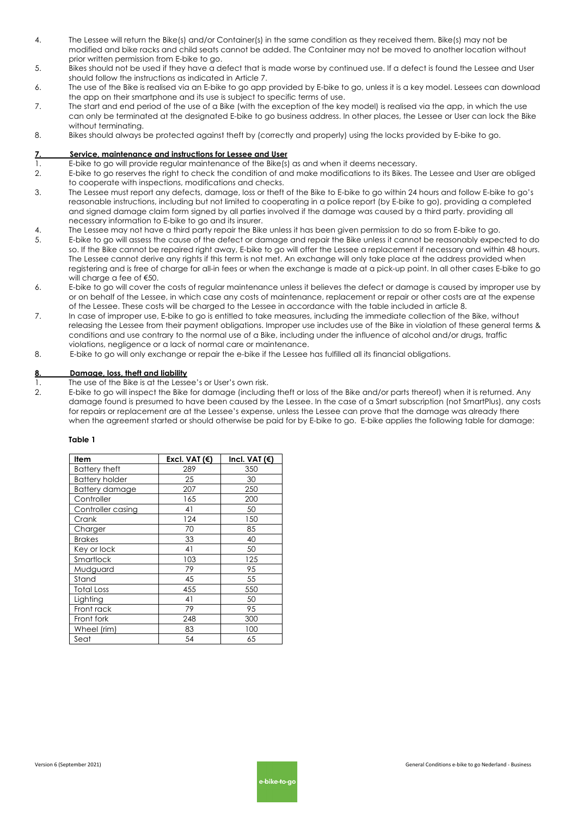- 4. The Lessee will return the Bike(s) and/or Container(s) in the same condition as they received them. Bike(s) may not be modified and bike racks and child seats cannot be added. The Container may not be moved to another location without prior written permission from E-bike to go.
- 5. Bikes should not be used if they have a defect that is made worse by continued use. If a defect is found the Lessee and User should follow the instructions as indicated in Article 7.
- 6. The use of the Bike is realised via an E-bike to go app provided by E-bike to go, unless it is a key model. Lessees can download the app on their smartphone and its use is subject to specific terms of use.
- 7. The start and end period of the use of a Bike (with the exception of the key model) is realised via the app, in which the use can only be terminated at the designated E-bike to go business address. In other places, the Lessee or User can lock the Bike without terminating.
- 8. Bikes should always be protected against theft by (correctly and properly) using the locks provided by E-bike to go.

### **7. Service, maintenance and instructions for Lessee and User**

- 1. E-bike to go will provide regular maintenance of the Bike(s) as and when it deems necessary.
- 2. E-bike to go reserves the right to check the condition of and make modifications to its Bikes. The Lessee and User are obliged to cooperate with inspections, modifications and checks.
- 3. The Lessee must report any defects, damage, loss or theft of the Bike to E-bike to go within 24 hours and follow E-bike to go's reasonable instructions, including but not limited to cooperating in a police report (by E-bike to go), providing a completed and signed damage claim form signed by all parties involved if the damage was caused by a third party, providing all necessary information to E-bike to go and its insurer.
- 4. The Lessee may not have a third party repair the Bike unless it has been given permission to do so from E-bike to go.
- 5. E-bike to go will assess the cause of the defect or damage and repair the Bike unless it cannot be reasonably expected to do so. If the Bike cannot be repaired right away, E-bike to go will offer the Lessee a replacement if necessary and within 48 hours. The Lessee cannot derive any rights if this term is not met. An exchange will only take place at the address provided when registering and is free of charge for all-in fees or when the exchange is made at a pick-up point. In all other cases E-bike to go will charge a fee of €50.
- 6. E-bike to go will cover the costs of regular maintenance unless it believes the defect or damage is caused by improper use by or on behalf of the Lessee, in which case any costs of maintenance, replacement or repair or other costs are at the expense of the Lessee. These costs will be charged to the Lessee in accordance with the table included in article 8.
- 7. In case of improper use, E-bike to go is entitled to take measures, including the immediate collection of the Bike, without releasing the Lessee from their payment obligations. Improper use includes use of the Bike in violation of these general terms & conditions and use contrary to the normal use of a Bike, including under the influence of alcohol and/or drugs, traffic violations, negligence or a lack of normal care or maintenance.
- 8. E-bike to go will only exchange or repair the e-bike if the Lessee has fulfilled all its financial obligations.

### **8. Damage, loss, theft and liability**

- 1. The use of the Bike is at the Lessee's or User's own risk.
- 2. E-bike to go will inspect the Bike for damage (including theft or loss of the Bike and/or parts thereof) when it is returned. Any damage found is presumed to have been caused by the Lessee. In the case of a Smart subscription (not SmartPlus), any costs for repairs or replacement are at the Lessee's expense, unless the Lessee can prove that the damage was already there when the agreement started or should otherwise be paid for by E-bike to go. E-bike applies the following table for damage:

## **Table 1**

| ltem                  | Excl. VAT $(€)$ | Incl. VAT (€) |
|-----------------------|-----------------|---------------|
| <b>Battery theft</b>  | 289             | 350           |
| <b>Battery holder</b> | 25              | 30            |
| <b>Battery damage</b> | 207             | 250           |
| Controller            | 165             | 200           |
| Controller casing     | 41              | 50            |
| Crank                 | 124             | 150           |
| Charger               | 70              | 85            |
| <b>Brakes</b>         | 33              | 40            |
| Key or lock           | 41              | 50            |
| Smartlock             | 103             | 125           |
| Mudguard              | 79              | 95            |
| Stand                 | 45              | 55            |
| <b>Total Loss</b>     | 455             | 550           |
| Lighting              | 41              | 50            |
| Front rack            | 79              | 95            |
| Front fork            | 248             | 300           |
| Wheel (rim)           | 83              | 100           |
| Seat                  | 54              | 65            |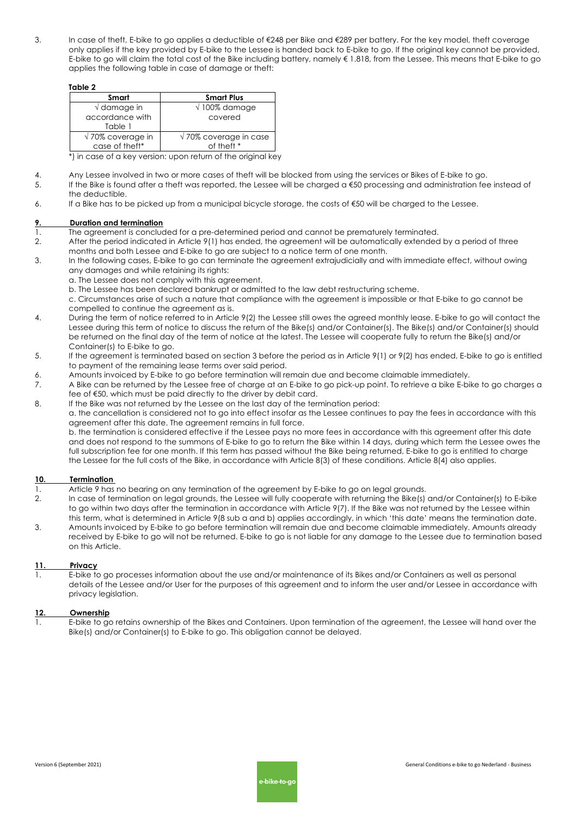3. In case of theft, E-bike to go applies a deductible of €248 per Bike and €289 per battery. For the key model, theft coverage only applies if the key provided by E-bike to the Lessee is handed back to E-bike to go. If the original key cannot be provided, E-bike to go will claim the total cost of the Bike including battery, namely € 1.818, from the Lessee. This means that E-bike to go applies the following table in case of damage or theft:

| u |  |
|---|--|
|---|--|

| Smart                     | <b>Smart Plus</b>              |  |  |
|---------------------------|--------------------------------|--|--|
| $\sqrt{}$ damage in       | $\sqrt{100\%}$ damage          |  |  |
| accordance with           | covered                        |  |  |
| Table 1                   |                                |  |  |
| $\sqrt{70\%}$ coverage in | $\sqrt{70\%}$ coverage in case |  |  |
| case of theft*            | of theft *                     |  |  |

\*) in case of a key version: upon return of the original key

- 4. Any Lessee involved in two or more cases of theft will be blocked from using the services or Bikes of E-bike to go.
- 5. If the Bike is found after a theft was reported, the Lessee will be charged a €50 processing and administration fee instead of the deductible.
- 6. If a Bike has to be picked up from a municipal bicycle storage, the costs of €50 will be charged to the Lessee.

### **9. Duration and termination**

- 1. The agreement is concluded for a pre-determined period and cannot be prematurely terminated.
- 2. After the period indicated in Article 9(1) has ended, the agreement will be automatically extended by a period of three months and both Lessee and E-bike to go are subject to a notice term of one month.
- 3. In the following cases, E-bike to go can terminate the agreement extrajudicially and with immediate effect, without owing any damages and while retaining its rights:
	- a. The Lessee does not comply with this agreement.
	- b. The Lessee has been declared bankrupt or admitted to the law debt restructuring scheme.
	- c. Circumstances arise of such a nature that compliance with the agreement is impossible or that E-bike to go cannot be compelled to continue the agreement as is.
- 4. During the term of notice referred to in Article 9(2) the Lessee still owes the agreed monthly lease. E-bike to go will contact the Lessee during this term of notice to discuss the return of the Bike(s) and/or Container(s). The Bike(s) and/or Container(s) should be returned on the final day of the term of notice at the latest. The Lessee will cooperate fully to return the Bike(s) and/or Container(s) to E-bike to go.
- 5. If the agreement is terminated based on section 3 before the period as in Article 9(1) or 9(2) has ended, E-bike to go is entitled to payment of the remaining lease terms over said period.
- 6. Amounts invoiced by E-bike to go before termination will remain due and become claimable immediately.
- 7. A Bike can be returned by the Lessee free of charge at an E-bike to go pick-up point. To retrieve a bike E-bike to go charges a fee of €50, which must be paid directly to the driver by debit card.
- 8. If the Bike was not returned by the Lessee on the last day of the termination period:

a. the cancellation is considered not to go into effect insofar as the Lessee continues to pay the fees in accordance with this agreement after this date. The agreement remains in full force.

b. the termination is considered effective if the Lessee pays no more fees in accordance with this agreement after this date and does not respond to the summons of E-bike to go to return the Bike within 14 days, during which term the Lessee owes the full subscription fee for one month. If this term has passed without the Bike being returned, E-bike to go is entitled to charge the Lessee for the full costs of the Bike, in accordance with Article 8(3) of these conditions. Article 8(4) also applies.

## **10. Termination**

- 1. Article 9 has no bearing on any termination of the agreement by E-bike to go on legal grounds.
- 2. In case of termination on legal grounds, the Lessee will fully cooperate with returning the Bike(s) and/or Container(s) to E-bike to go within two days after the termination in accordance with Article 9(7). If the Bike was not returned by the Lessee within this term, what is determined in Article 9(8 sub a and b) applies accordingly, in which 'this date' means the termination date. 3. Amounts invoiced by E-bike to go before termination will remain due and become claimable immediately. Amounts already received by E-bike to go will not be returned. E-bike to go is not liable for any damage to the Lessee due to termination based

# **11. Privacy**

on this Article.

1. E-bike to go processes information about the use and/or maintenance of its Bikes and/or Containers as well as personal details of the Lessee and/or User for the purposes of this agreement and to inform the user and/or Lessee in accordance with privacy leaislation.

## **12. Ownership**

1. E-bike to go retains ownership of the Bikes and Containers. Upon termination of the agreement, the Lessee will hand over the Bike(s) and/or Container(s) to E-bike to go. This obligation cannot be delayed.